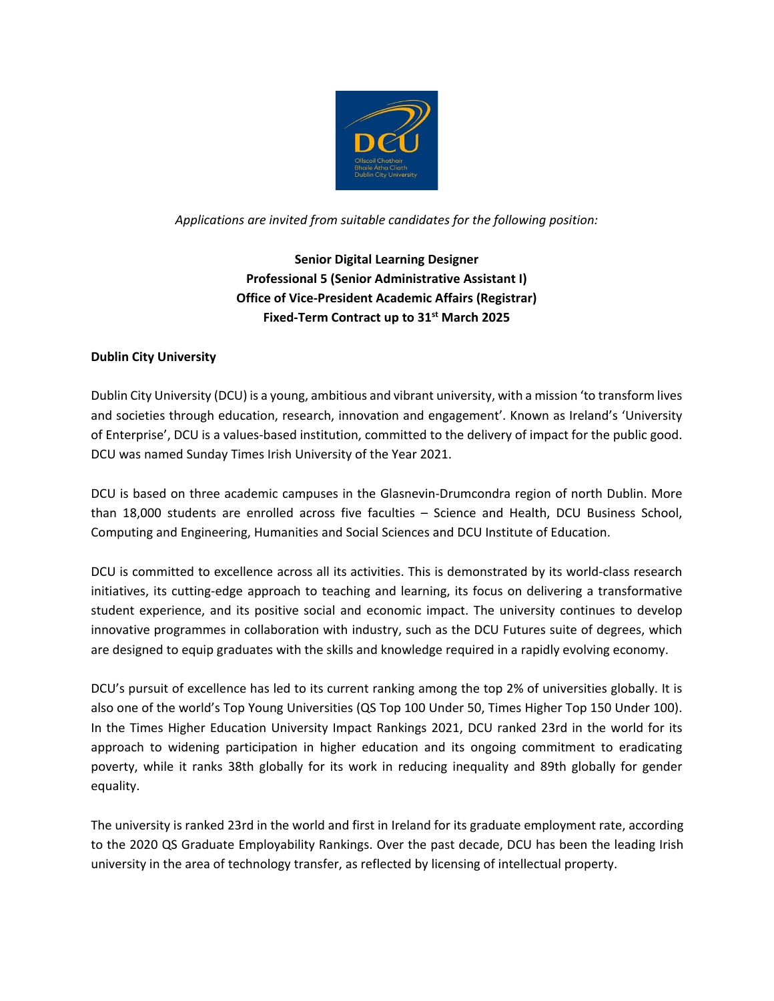

*Applications are invited from suitable candidates for the following position:*

**Senior Digital Learning Designer Professional 5 (Senior Administrative Assistant I) Office of Vice-President Academic Affairs (Registrar) Fixed-Term Contract up to 31st March 2025** 

# **Dublin City University**

Dublin City University (DCU) is a young, ambitious and vibrant university, with a mission 'to transform lives and societies through education, research, innovation and engagement'. Known as Ireland's 'University of Enterprise', DCU is a values-based institution, committed to the delivery of impact for the public good. DCU was named Sunday Times Irish University of the Year 2021.

DCU is based on three academic campuses in the Glasnevin-Drumcondra region of north Dublin. More than 18,000 students are enrolled across five faculties – Science and Health, DCU Business School, Computing and Engineering, Humanities and Social Sciences and DCU Institute of Education.

DCU is committed to excellence across all its activities. This is demonstrated by its world-class research initiatives, its cutting-edge approach to teaching and learning, its focus on delivering a transformative student experience, and its positive social and economic impact. The university continues to develop innovative programmes in collaboration with industry, such as the DCU Futures suite of degrees, which are designed to equip graduates with the skills and knowledge required in a rapidly evolving economy.

DCU's pursuit of excellence has led to its current ranking among the top 2% of universities globally. It is also one of the world's Top Young Universities (QS Top 100 Under 50, Times Higher Top 150 Under 100). In the Times Higher Education University Impact Rankings 2021, DCU ranked 23rd in the world for its approach to widening participation in higher education and its ongoing commitment to eradicating poverty, while it ranks 38th globally for its work in reducing inequality and 89th globally for gender equality.

The university is ranked 23rd in the world and first in Ireland for its graduate employment rate, according to the 2020 QS Graduate Employability Rankings. Over the past decade, DCU has been the leading Irish university in the area of technology transfer, as reflected by licensing of intellectual property.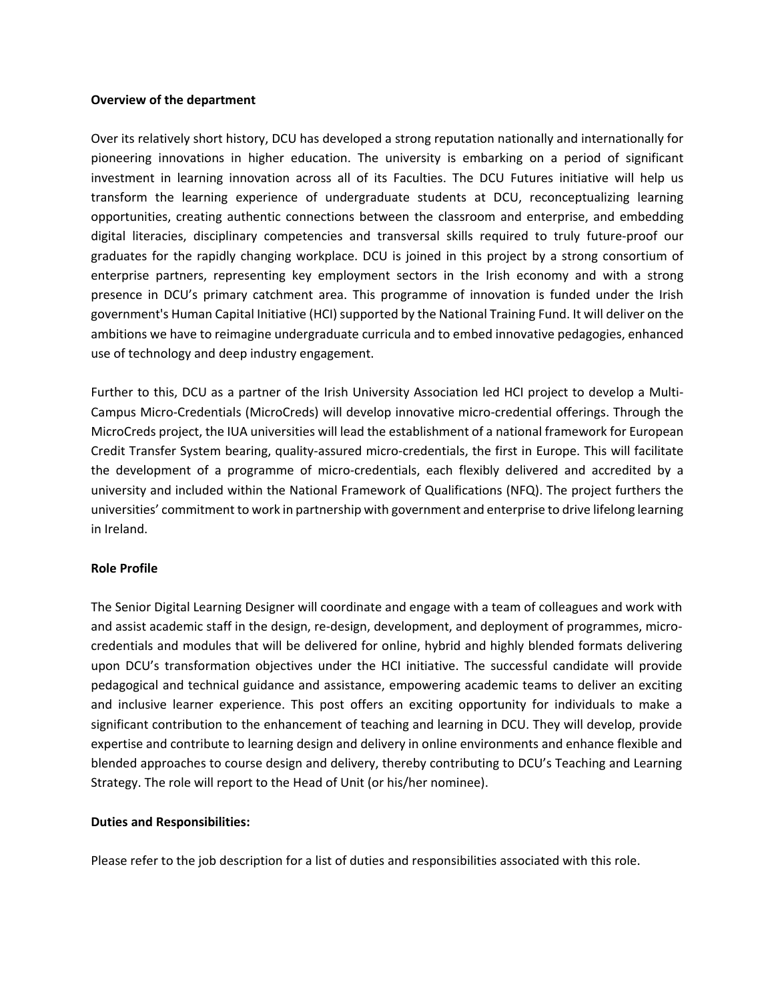#### **Overview of the department**

Over its relatively short history, DCU has developed a strong reputation nationally and internationally for pioneering innovations in higher education. The university is embarking on a period of significant investment in learning innovation across all of its Faculties. The DCU Futures initiative will help us transform the learning experience of undergraduate students at DCU, reconceptualizing learning opportunities, creating authentic connections between the classroom and enterprise, and embedding digital literacies, disciplinary competencies and transversal skills required to truly future-proof our graduates for the rapidly changing workplace. DCU is joined in this project by a strong consortium of enterprise partners, representing key employment sectors in the Irish economy and with a strong presence in DCU's primary catchment area. This programme of innovation is funded under the Irish government's Human Capital Initiative (HCI) supported by the National Training Fund. It will deliver on the ambitions we have to reimagine undergraduate curricula and to embed innovative pedagogies, enhanced use of technology and deep industry engagement.

Further to this, DCU as a partner of the Irish University Association led HCI project to develop a Multi-Campus Micro-Credentials (MicroCreds) will develop innovative micro-credential offerings. Through the MicroCreds project, the IUA universities will lead the establishment of a national framework for European Credit Transfer System bearing, quality-assured micro-credentials, the first in Europe. This will facilitate the development of a programme of micro-credentials, each flexibly delivered and accredited by a university and included within the National Framework of Qualifications (NFQ). The project furthers the universities' commitment to work in partnership with government and enterprise to drive lifelong learning in Ireland.

#### **Role Profile**

The Senior Digital Learning Designer will coordinate and engage with a team of colleagues and work with and assist academic staff in the design, re-design, development, and deployment of programmes, microcredentials and modules that will be delivered for online, hybrid and highly blended formats delivering upon DCU's transformation objectives under the HCI initiative. The successful candidate will provide pedagogical and technical guidance and assistance, empowering academic teams to deliver an exciting and inclusive learner experience. This post offers an exciting opportunity for individuals to make a significant contribution to the enhancement of teaching and learning in DCU. They will develop, provide expertise and contribute to learning design and delivery in online environments and enhance flexible and blended approaches to course design and delivery, thereby contributing to DCU's Teaching and Learning Strategy. The role will report to the Head of Unit (or his/her nominee).

#### **Duties and Responsibilities:**

Please refer to the job description for a list of duties and responsibilities associated with this role.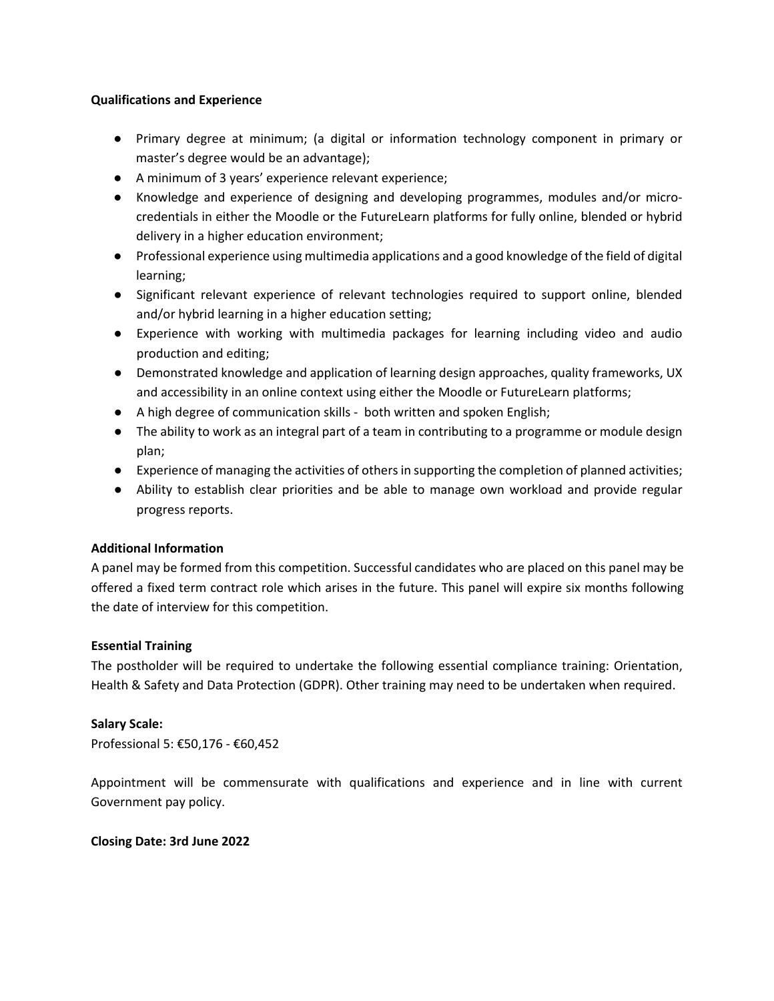### **Qualifications and Experience**

- Primary degree at minimum; (a digital or information technology component in primary or master's degree would be an advantage);
- A minimum of 3 years' experience relevant experience;
- Knowledge and experience of designing and developing programmes, modules and/or microcredentials in either the Moodle or the FutureLearn platforms for fully online, blended or hybrid delivery in a higher education environment;
- Professional experience using multimedia applications and a good knowledge of the field of digital learning;
- Significant relevant experience of relevant technologies required to support online, blended and/or hybrid learning in a higher education setting;
- Experience with working with multimedia packages for learning including video and audio production and editing;
- Demonstrated knowledge and application of learning design approaches, quality frameworks, UX and accessibility in an online context using either the Moodle or FutureLearn platforms;
- A high degree of communication skills both written and spoken English;
- The ability to work as an integral part of a team in contributing to a programme or module design plan;
- Experience of managing the activities of others in supporting the completion of planned activities;
- Ability to establish clear priorities and be able to manage own workload and provide regular progress reports.

## **Additional Information**

A panel may be formed from this competition. Successful candidates who are placed on this panel may be offered a fixed term contract role which arises in the future. This panel will expire six months following the date of interview for this competition.

## **Essential Training**

The postholder will be required to undertake the following essential compliance training: Orientation, Health & Safety and Data Protection (GDPR). Other training may need to be undertaken when required.

## **Salary Scale:**

Professional 5: €50,176 - €60,452

Appointment will be commensurate with qualifications and experience and in line with current Government pay policy.

#### **Closing Date: 3rd June 2022**